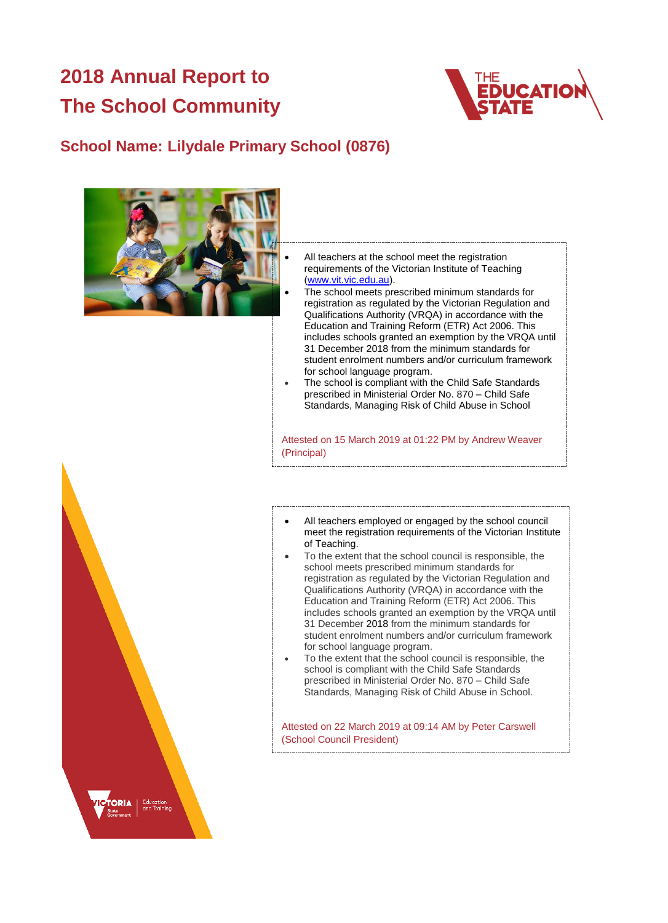# **2018 Annual Report to The School Community**



### **School Name: Lilydale Primary School (0876)**



- All teachers at the school meet the registration requirements of the Victorian Institute of Teaching [\(www.vit.vic.edu.au\)](https://www.vit.vic.edu.au/).
- The school meets prescribed minimum standards for registration as regulated by the Victorian Regulation and Qualifications Authority (VRQA) in accordance with the Education and Training Reform (ETR) Act 2006. This includes schools granted an exemption by the VRQA until 31 December 2018 from the minimum standards for student enrolment numbers and/or curriculum framework for school language program.
- The school is compliant with the Child Safe Standards prescribed in Ministerial Order No. 870 – Child Safe Standards, Managing Risk of Child Abuse in School

Attested on 15 March 2019 at 01:22 PM by Andrew Weaver (Principal)

- All teachers employed or engaged by the school council meet the registration requirements of the Victorian Institute of Teaching.
- To the extent that the school council is responsible, the school meets prescribed minimum standards for registration as regulated by the Victorian Regulation and Qualifications Authority (VRQA) in accordance with the Education and Training Reform (ETR) Act 2006. This includes schools granted an exemption by the VRQA until 31 December 2018 from the minimum standards for student enrolment numbers and/or curriculum framework for school language program.
- To the extent that the school council is responsible, the school is compliant with the Child Safe Standards prescribed in Ministerial Order No. 870 – Child Safe Standards, Managing Risk of Child Abuse in School.

Attested on 22 March 2019 at 09:14 AM by Peter Carswell (School Council President)

**TORIA**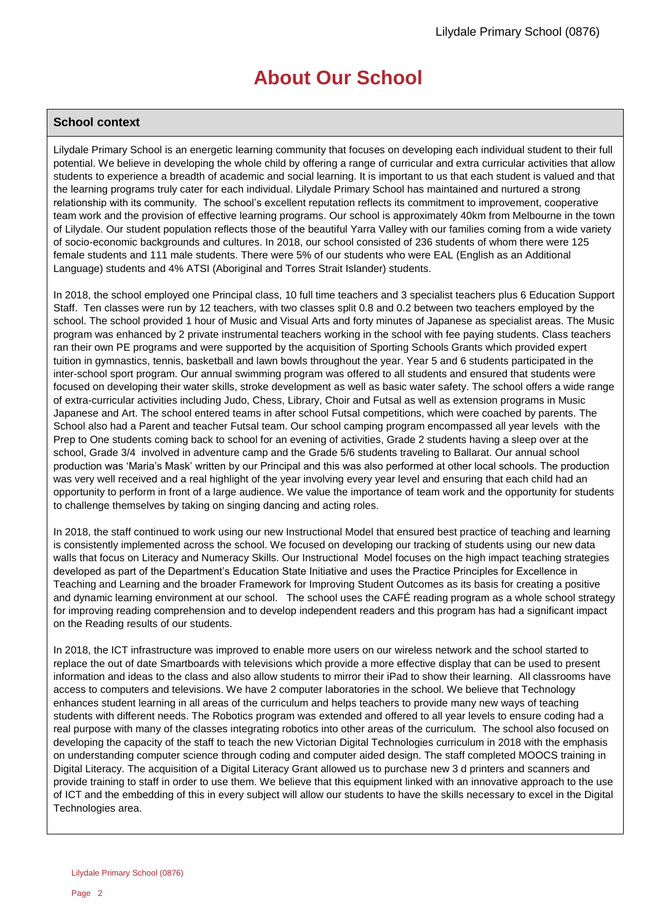## **About Our School**

### **School context**

Lilydale Primary School is an energetic learning community that focuses on developing each individual student to their full potential. We believe in developing the whole child by offering a range of curricular and extra curricular activities that allow students to experience a breadth of academic and social learning. It is important to us that each student is valued and that the learning programs truly cater for each individual. Lilydale Primary School has maintained and nurtured a strong relationship with its community. The school's excellent reputation reflects its commitment to improvement, cooperative team work and the provision of effective learning programs. Our school is approximately 40km from Melbourne in the town of Lilydale. Our student population reflects those of the beautiful Yarra Valley with our families coming from a wide variety of socio-economic backgrounds and cultures. In 2018, our school consisted of 236 students of whom there were 125 female students and 111 male students. There were 5% of our students who were EAL (English as an Additional Language) students and 4% ATSI (Aboriginal and Torres Strait Islander) students.

In 2018, the school employed one Principal class, 10 full time teachers and 3 specialist teachers plus 6 Education Support Staff. Ten classes were run by 12 teachers, with two classes split 0.8 and 0.2 between two teachers employed by the school. The school provided 1 hour of Music and Visual Arts and forty minutes of Japanese as specialist areas. The Music program was enhanced by 2 private instrumental teachers working in the school with fee paying students. Class teachers ran their own PE programs and were supported by the acquisition of Sporting Schools Grants which provided expert tuition in gymnastics, tennis, basketball and lawn bowls throughout the year. Year 5 and 6 students participated in the inter-school sport program. Our annual swimming program was offered to all students and ensured that students were focused on developing their water skills, stroke development as well as basic water safety. The school offers a wide range of extra-curricular activities including Judo, Chess, Library, Choir and Futsal as well as extension programs in Music Japanese and Art. The school entered teams in after school Futsal competitions, which were coached by parents. The School also had a Parent and teacher Futsal team. Our school camping program encompassed all year levels with the Prep to One students coming back to school for an evening of activities, Grade 2 students having a sleep over at the school, Grade 3/4 involved in adventure camp and the Grade 5/6 students traveling to Ballarat. Our annual school production was 'Maria's Mask' written by our Principal and this was also performed at other local schools. The production was very well received and a real highlight of the year involving every year level and ensuring that each child had an opportunity to perform in front of a large audience. We value the importance of team work and the opportunity for students to challenge themselves by taking on singing dancing and acting roles.

In 2018, the staff continued to work using our new Instructional Model that ensured best practice of teaching and learning is consistently implemented across the school. We focused on developing our tracking of students using our new data walls that focus on Literacy and Numeracy Skills. Our Instructional Model focuses on the high impact teaching strategies developed as part of the Department's Education State Initiative and uses the Practice Principles for Excellence in Teaching and Learning and the broader Framework for Improving Student Outcomes as its basis for creating a positive and dynamic learning environment at our school. The school uses the CAFÉ reading program as a whole school strategy for improving reading comprehension and to develop independent readers and this program has had a significant impact on the Reading results of our students.

In 2018, the ICT infrastructure was improved to enable more users on our wireless network and the school started to replace the out of date Smartboards with televisions which provide a more effective display that can be used to present information and ideas to the class and also allow students to mirror their iPad to show their learning. All classrooms have access to computers and televisions. We have 2 computer laboratories in the school. We believe that Technology enhances student learning in all areas of the curriculum and helps teachers to provide many new ways of teaching students with different needs. The Robotics program was extended and offered to all year levels to ensure coding had a real purpose with many of the classes integrating robotics into other areas of the curriculum. The school also focused on developing the capacity of the staff to teach the new Victorian Digital Technologies curriculum in 2018 with the emphasis on understanding computer science through coding and computer aided design. The staff completed MOOCS training in Digital Literacy. The acquisition of a Digital Literacy Grant allowed us to purchase new 3 d printers and scanners and provide training to staff in order to use them. We believe that this equipment linked with an innovative approach to the use of ICT and the embedding of this in every subject will allow our students to have the skills necessary to excel in the Digital Technologies area.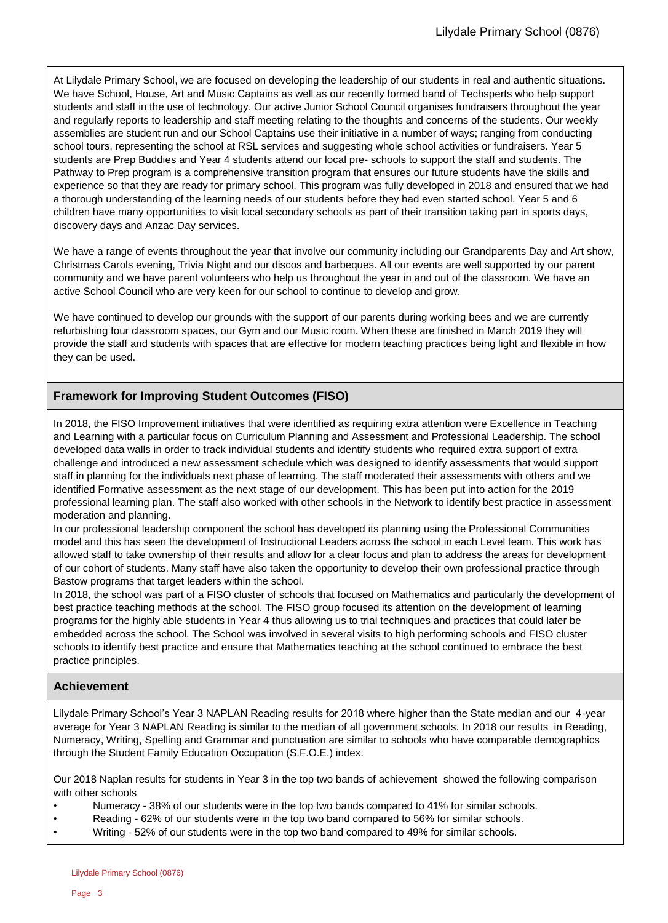At Lilydale Primary School, we are focused on developing the leadership of our students in real and authentic situations. We have School, House, Art and Music Captains as well as our recently formed band of Techsperts who help support students and staff in the use of technology. Our active Junior School Council organises fundraisers throughout the year and regularly reports to leadership and staff meeting relating to the thoughts and concerns of the students. Our weekly assemblies are student run and our School Captains use their initiative in a number of ways; ranging from conducting school tours, representing the school at RSL services and suggesting whole school activities or fundraisers. Year 5 students are Prep Buddies and Year 4 students attend our local pre- schools to support the staff and students. The Pathway to Prep program is a comprehensive transition program that ensures our future students have the skills and experience so that they are ready for primary school. This program was fully developed in 2018 and ensured that we had a thorough understanding of the learning needs of our students before they had even started school. Year 5 and 6 children have many opportunities to visit local secondary schools as part of their transition taking part in sports days, discovery days and Anzac Day services.

We have a range of events throughout the year that involve our community including our Grandparents Day and Art show, Christmas Carols evening, Trivia Night and our discos and barbeques. All our events are well supported by our parent community and we have parent volunteers who help us throughout the year in and out of the classroom. We have an active School Council who are very keen for our school to continue to develop and grow.

We have continued to develop our grounds with the support of our parents during working bees and we are currently refurbishing four classroom spaces, our Gym and our Music room. When these are finished in March 2019 they will provide the staff and students with spaces that are effective for modern teaching practices being light and flexible in how they can be used.

### **Framework for Improving Student Outcomes (FISO)**

In 2018, the FISO Improvement initiatives that were identified as requiring extra attention were Excellence in Teaching and Learning with a particular focus on Curriculum Planning and Assessment and Professional Leadership. The school developed data walls in order to track individual students and identify students who required extra support of extra challenge and introduced a new assessment schedule which was designed to identify assessments that would support staff in planning for the individuals next phase of learning. The staff moderated their assessments with others and we identified Formative assessment as the next stage of our development. This has been put into action for the 2019 professional learning plan. The staff also worked with other schools in the Network to identify best practice in assessment moderation and planning.

In our professional leadership component the school has developed its planning using the Professional Communities model and this has seen the development of Instructional Leaders across the school in each Level team. This work has allowed staff to take ownership of their results and allow for a clear focus and plan to address the areas for development of our cohort of students. Many staff have also taken the opportunity to develop their own professional practice through Bastow programs that target leaders within the school.

In 2018, the school was part of a FISO cluster of schools that focused on Mathematics and particularly the development of best practice teaching methods at the school. The FISO group focused its attention on the development of learning programs for the highly able students in Year 4 thus allowing us to trial techniques and practices that could later be embedded across the school. The School was involved in several visits to high performing schools and FISO cluster schools to identify best practice and ensure that Mathematics teaching at the school continued to embrace the best practice principles.

### **Achievement**

Lilydale Primary School's Year 3 NAPLAN Reading results for 2018 where higher than the State median and our 4-year average for Year 3 NAPLAN Reading is similar to the median of all government schools. In 2018 our results in Reading, Numeracy, Writing, Spelling and Grammar and punctuation are similar to schools who have comparable demographics through the Student Family Education Occupation (S.F.O.E.) index.

Our 2018 Naplan results for students in Year 3 in the top two bands of achievement showed the following comparison with other schools

- Numeracy 38% of our students were in the top two bands compared to 41% for similar schools.
- Reading 62% of our students were in the top two band compared to 56% for similar schools.
- Writing 52% of our students were in the top two band compared to 49% for similar schools.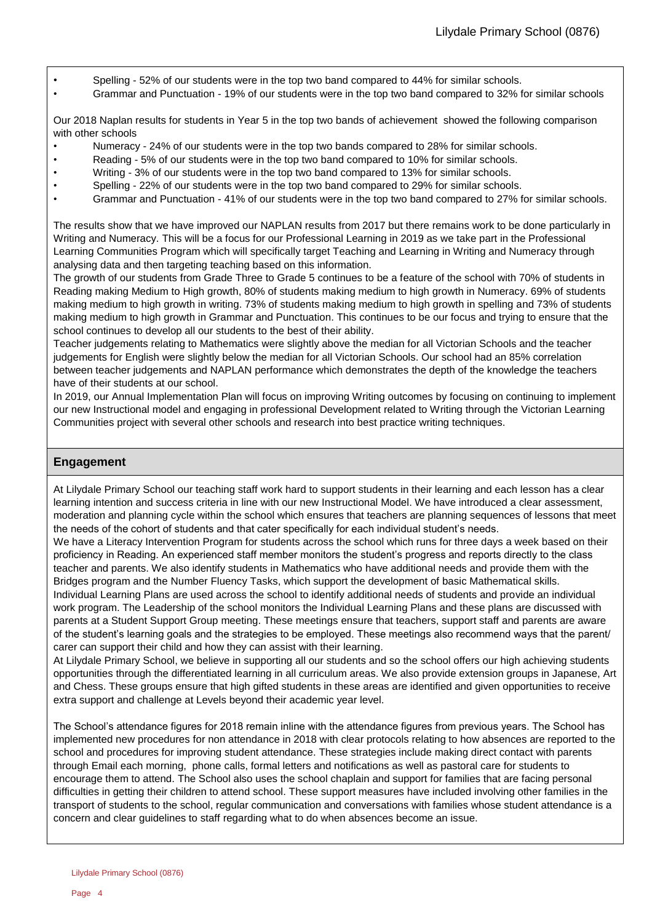- Spelling 52% of our students were in the top two band compared to 44% for similar schools.
- Grammar and Punctuation 19% of our students were in the top two band compared to 32% for similar schools

Our 2018 Naplan results for students in Year 5 in the top two bands of achievement showed the following comparison with other schools

- Numeracy 24% of our students were in the top two bands compared to 28% for similar schools.
- Reading 5% of our students were in the top two band compared to 10% for similar schools.
- Writing 3% of our students were in the top two band compared to 13% for similar schools.
- Spelling 22% of our students were in the top two band compared to 29% for similar schools.
- Grammar and Punctuation 41% of our students were in the top two band compared to 27% for similar schools.

The results show that we have improved our NAPLAN results from 2017 but there remains work to be done particularly in Writing and Numeracy. This will be a focus for our Professional Learning in 2019 as we take part in the Professional Learning Communities Program which will specifically target Teaching and Learning in Writing and Numeracy through analysing data and then targeting teaching based on this information.

The growth of our students from Grade Three to Grade 5 continues to be a feature of the school with 70% of students in Reading making Medium to High growth, 80% of students making medium to high growth in Numeracy. 69% of students making medium to high growth in writing. 73% of students making medium to high growth in spelling and 73% of students making medium to high growth in Grammar and Punctuation. This continues to be our focus and trying to ensure that the school continues to develop all our students to the best of their ability.

Teacher judgements relating to Mathematics were slightly above the median for all Victorian Schools and the teacher judgements for English were slightly below the median for all Victorian Schools. Our school had an 85% correlation between teacher judgements and NAPLAN performance which demonstrates the depth of the knowledge the teachers have of their students at our school.

In 2019, our Annual Implementation Plan will focus on improving Writing outcomes by focusing on continuing to implement our new Instructional model and engaging in professional Development related to Writing through the Victorian Learning Communities project with several other schools and research into best practice writing techniques.

### **Engagement**

At Lilydale Primary School our teaching staff work hard to support students in their learning and each lesson has a clear learning intention and success criteria in line with our new Instructional Model. We have introduced a clear assessment, moderation and planning cycle within the school which ensures that teachers are planning sequences of lessons that meet the needs of the cohort of students and that cater specifically for each individual student's needs.

We have a Literacy Intervention Program for students across the school which runs for three days a week based on their proficiency in Reading. An experienced staff member monitors the student's progress and reports directly to the class teacher and parents. We also identify students in Mathematics who have additional needs and provide them with the Bridges program and the Number Fluency Tasks, which support the development of basic Mathematical skills. Individual Learning Plans are used across the school to identify additional needs of students and provide an individual work program. The Leadership of the school monitors the Individual Learning Plans and these plans are discussed with parents at a Student Support Group meeting. These meetings ensure that teachers, support staff and parents are aware of the student's learning goals and the strategies to be employed. These meetings also recommend ways that the parent/ carer can support their child and how they can assist with their learning.

At Lilydale Primary School, we believe in supporting all our students and so the school offers our high achieving students opportunities through the differentiated learning in all curriculum areas. We also provide extension groups in Japanese, Art and Chess. These groups ensure that high gifted students in these areas are identified and given opportunities to receive extra support and challenge at Levels beyond their academic year level.

The School's attendance figures for 2018 remain inline with the attendance figures from previous years. The School has implemented new procedures for non attendance in 2018 with clear protocols relating to how absences are reported to the school and procedures for improving student attendance. These strategies include making direct contact with parents through Email each morning, phone calls, formal letters and notifications as well as pastoral care for students to encourage them to attend. The School also uses the school chaplain and support for families that are facing personal difficulties in getting their children to attend school. These support measures have included involving other families in the transport of students to the school, regular communication and conversations with families whose student attendance is a concern and clear guidelines to staff regarding what to do when absences become an issue.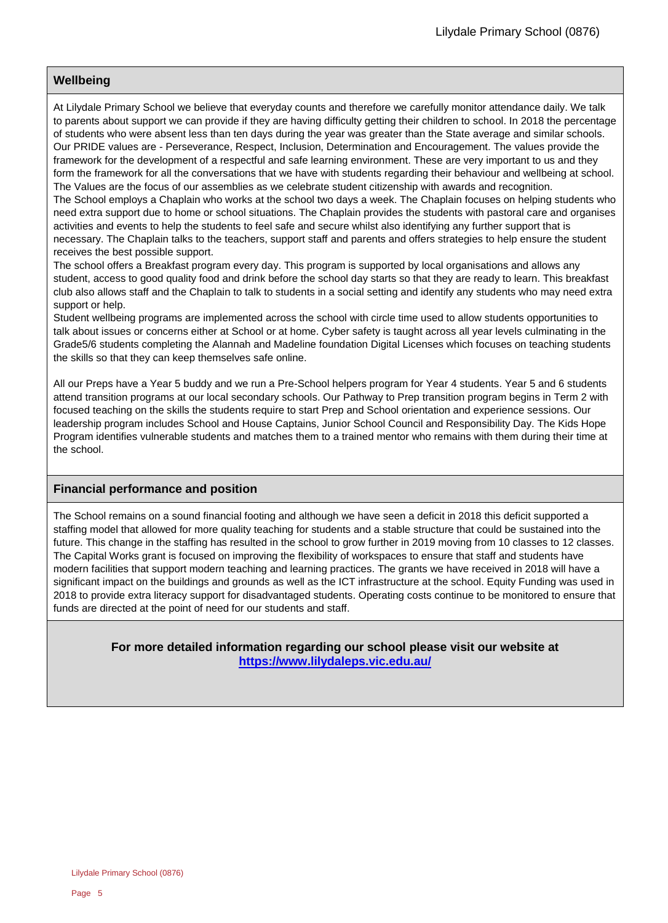### **Wellbeing**

At Lilydale Primary School we believe that everyday counts and therefore we carefully monitor attendance daily. We talk to parents about support we can provide if they are having difficulty getting their children to school. In 2018 the percentage of students who were absent less than ten days during the year was greater than the State average and similar schools. Our PRIDE values are - Perseverance, Respect, Inclusion, Determination and Encouragement. The values provide the framework for the development of a respectful and safe learning environment. These are very important to us and they form the framework for all the conversations that we have with students regarding their behaviour and wellbeing at school. The Values are the focus of our assemblies as we celebrate student citizenship with awards and recognition.

The School employs a Chaplain who works at the school two days a week. The Chaplain focuses on helping students who need extra support due to home or school situations. The Chaplain provides the students with pastoral care and organises activities and events to help the students to feel safe and secure whilst also identifying any further support that is necessary. The Chaplain talks to the teachers, support staff and parents and offers strategies to help ensure the student receives the best possible support.

The school offers a Breakfast program every day. This program is supported by local organisations and allows any student, access to good quality food and drink before the school day starts so that they are ready to learn. This breakfast club also allows staff and the Chaplain to talk to students in a social setting and identify any students who may need extra support or help.

Student wellbeing programs are implemented across the school with circle time used to allow students opportunities to talk about issues or concerns either at School or at home. Cyber safety is taught across all year levels culminating in the Grade5/6 students completing the Alannah and Madeline foundation Digital Licenses which focuses on teaching students the skills so that they can keep themselves safe online.

All our Preps have a Year 5 buddy and we run a Pre-School helpers program for Year 4 students. Year 5 and 6 students attend transition programs at our local secondary schools. Our Pathway to Prep transition program begins in Term 2 with focused teaching on the skills the students require to start Prep and School orientation and experience sessions. Our leadership program includes School and House Captains, Junior School Council and Responsibility Day. The Kids Hope Program identifies vulnerable students and matches them to a trained mentor who remains with them during their time at the school.

### **Financial performance and position**

The School remains on a sound financial footing and although we have seen a deficit in 2018 this deficit supported a staffing model that allowed for more quality teaching for students and a stable structure that could be sustained into the future. This change in the staffing has resulted in the school to grow further in 2019 moving from 10 classes to 12 classes. The Capital Works grant is focused on improving the flexibility of workspaces to ensure that staff and students have modern facilities that support modern teaching and learning practices. The grants we have received in 2018 will have a significant impact on the buildings and grounds as well as the ICT infrastructure at the school. Equity Funding was used in 2018 to provide extra literacy support for disadvantaged students. Operating costs continue to be monitored to ensure that funds are directed at the point of need for our students and staff.

> **For more detailed information regarding our school please visit our website at <https://www.lilydaleps.vic.edu.au/>**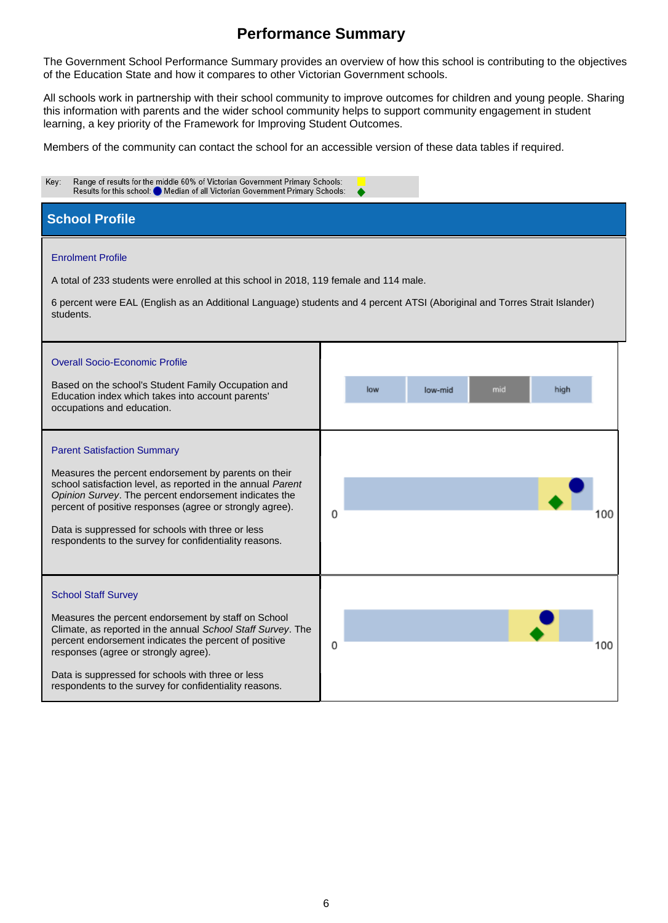The Government School Performance Summary provides an overview of how this school is contributing to the objectives of the Education State and how it compares to other Victorian Government schools.

All schools work in partnership with their school community to improve outcomes for children and young people. Sharing this information with parents and the wider school community helps to support community engagement in student learning, a key priority of the Framework for Improving Student Outcomes.

Members of the community can contact the school for an accessible version of these data tables if required.

| Range of results for the middle 60% of Victorian Government Primary Schools:<br>Key:<br>Results for this school: Median of all Victorian Government Primary Schools:                                                                                                                                                                                                                          |                                                                                                                            |  |  |  |  |
|-----------------------------------------------------------------------------------------------------------------------------------------------------------------------------------------------------------------------------------------------------------------------------------------------------------------------------------------------------------------------------------------------|----------------------------------------------------------------------------------------------------------------------------|--|--|--|--|
| <b>School Profile</b>                                                                                                                                                                                                                                                                                                                                                                         |                                                                                                                            |  |  |  |  |
| <b>Enrolment Profile</b><br>A total of 233 students were enrolled at this school in 2018, 119 female and 114 male.<br>students.                                                                                                                                                                                                                                                               | 6 percent were EAL (English as an Additional Language) students and 4 percent ATSI (Aboriginal and Torres Strait Islander) |  |  |  |  |
| <b>Overall Socio-Economic Profile</b><br>Based on the school's Student Family Occupation and<br>Education index which takes into account parents'<br>occupations and education.                                                                                                                                                                                                               | low<br>mid<br>high<br>low-mid                                                                                              |  |  |  |  |
| <b>Parent Satisfaction Summary</b><br>Measures the percent endorsement by parents on their<br>school satisfaction level, as reported in the annual Parent<br>Opinion Survey. The percent endorsement indicates the<br>percent of positive responses (agree or strongly agree).<br>Data is suppressed for schools with three or less<br>respondents to the survey for confidentiality reasons. | 0<br>10C                                                                                                                   |  |  |  |  |
| <b>School Staff Survey</b><br>Measures the percent endorsement by staff on School<br>Climate, as reported in the annual School Staff Survey. The<br>percent endorsement indicates the percent of positive<br>responses (agree or strongly agree).<br>Data is suppressed for schools with three or less<br>respondents to the survey for confidentiality reasons.                              | 0<br>100                                                                                                                   |  |  |  |  |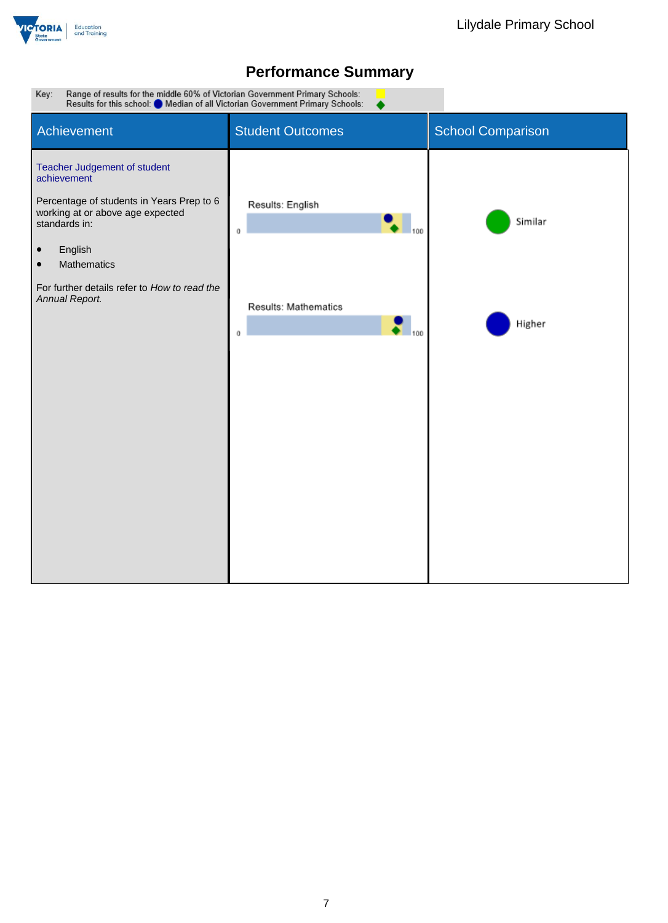

| Key:<br>Range of results for the middle 60% of Victorian Government Primary Schools:<br>Results for this school: ● Median of all Victorian Government Primary Schools:                                                                                              |                                                                            |                          |  |  |  |  |
|---------------------------------------------------------------------------------------------------------------------------------------------------------------------------------------------------------------------------------------------------------------------|----------------------------------------------------------------------------|--------------------------|--|--|--|--|
| Achievement                                                                                                                                                                                                                                                         | <b>Student Outcomes</b>                                                    | <b>School Comparison</b> |  |  |  |  |
| Teacher Judgement of student<br>achievement<br>Percentage of students in Years Prep to 6<br>working at or above age expected<br>standards in:<br>English<br>$\bullet$<br>Mathematics<br>$\bullet$<br>For further details refer to How to read the<br>Annual Report. | Results: English<br>100<br>0<br>Results: Mathematics<br>$\bullet$ 100<br>0 | Similar<br>Higher        |  |  |  |  |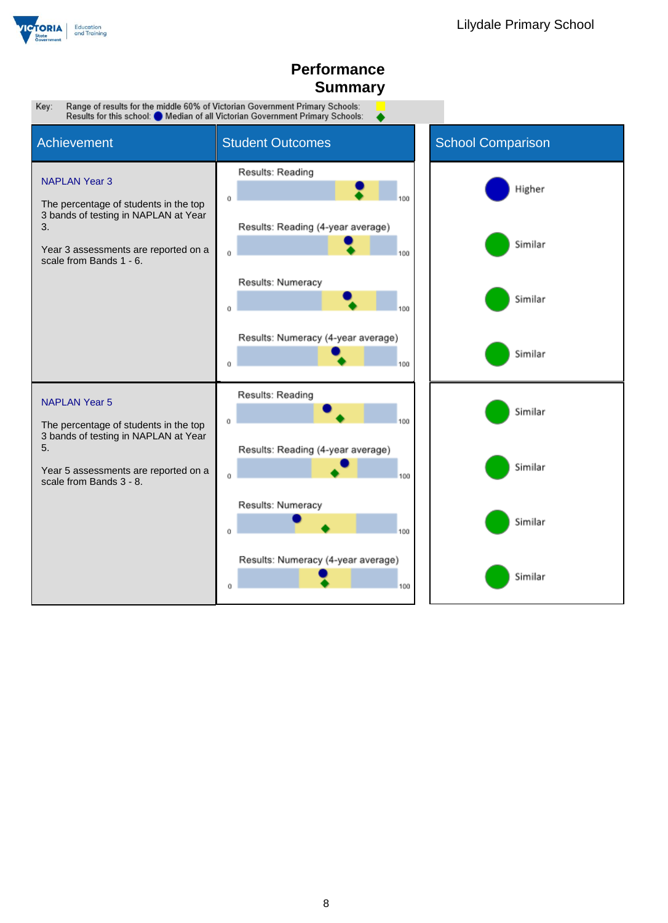

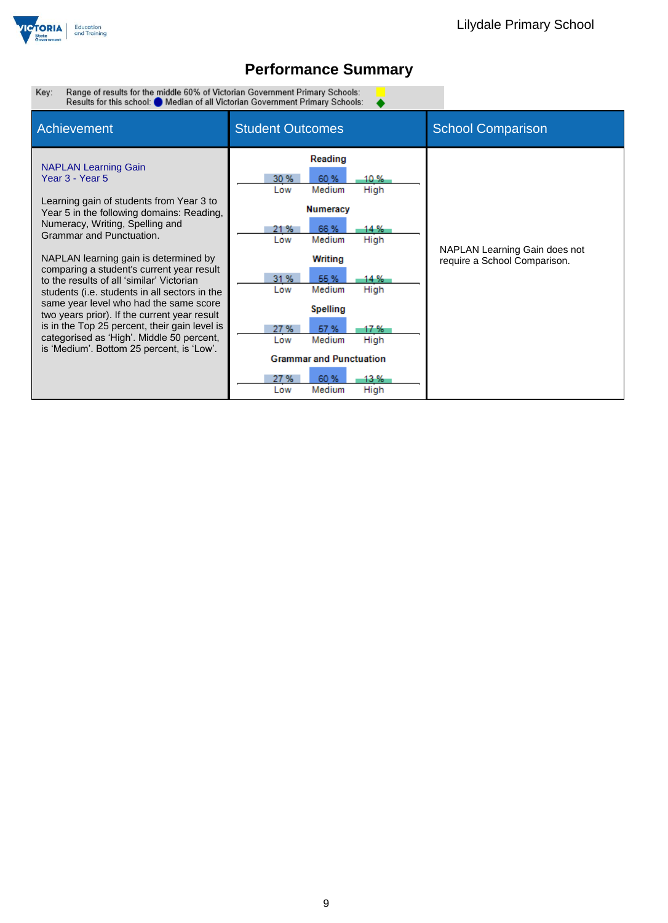



Range of results for the middle 60% of Victorian Government Primary Schools:<br>Results for this school: O Median of all Victorian Government Primary Schools: Key:

| <b>Achievement</b>                                                                                                                                                                                                                                                                                                                                                                                                                                                                                                                                                                                                              | <b>Student Outcomes</b>                                                                                                                                                                                                                                                                                                                  | <b>School Comparison</b>                                      |
|---------------------------------------------------------------------------------------------------------------------------------------------------------------------------------------------------------------------------------------------------------------------------------------------------------------------------------------------------------------------------------------------------------------------------------------------------------------------------------------------------------------------------------------------------------------------------------------------------------------------------------|------------------------------------------------------------------------------------------------------------------------------------------------------------------------------------------------------------------------------------------------------------------------------------------------------------------------------------------|---------------------------------------------------------------|
| <b>NAPLAN Learning Gain</b><br>Year 3 - Year 5<br>Learning gain of students from Year 3 to<br>Year 5 in the following domains: Reading,<br>Numeracy, Writing, Spelling and<br>Grammar and Punctuation.<br>NAPLAN learning gain is determined by<br>comparing a student's current year result<br>to the results of all 'similar' Victorian<br>students (i.e. students in all sectors in the<br>same year level who had the same score<br>two years prior). If the current year result<br>is in the Top 25 percent, their gain level is<br>categorised as 'High'. Middle 50 percent,<br>is 'Medium'. Bottom 25 percent, is 'Low'. | Reading<br>30 %<br>60 %<br>10 %<br>Medium<br>High<br>Low<br><b>Numeracy</b><br>66 %<br>14 %<br>21 %<br>Low<br>Medium<br>High<br>Writing<br>31 %<br>55 %<br>14 %<br>High<br>Medium<br>Low<br>Spelling<br>27 %<br>57 %<br>17 %<br>Medium<br>High<br>Low<br><b>Grammar and Punctuation</b><br>13 %<br>27 %<br>60 %<br>High<br>Medium<br>Low | NAPLAN Learning Gain does not<br>require a School Comparison. |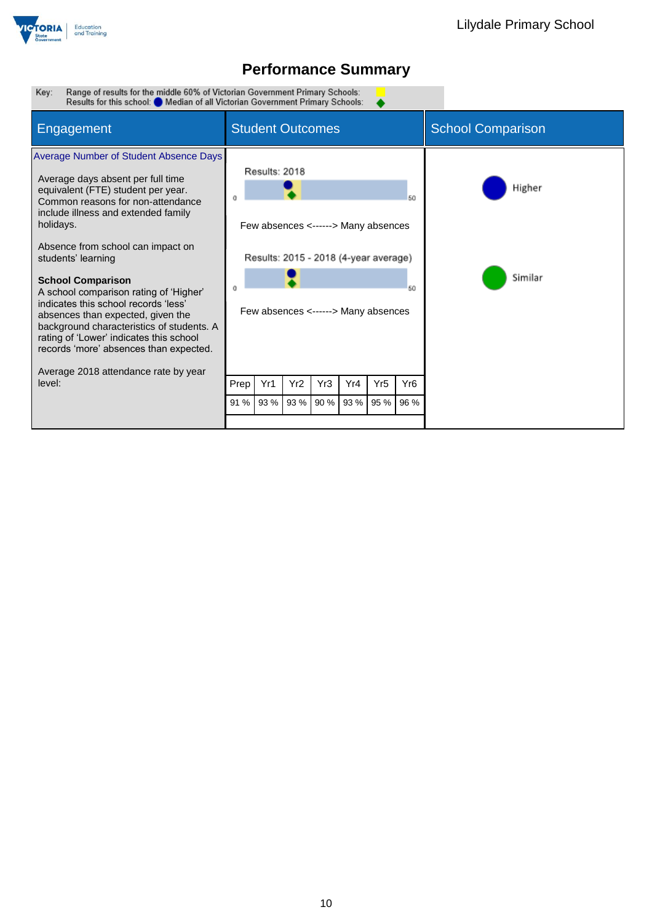

Range of results for the middle 60% of Victorian Government Primary Schools:<br>Results for this school: O Median of all Victorian Government Primary Schools: Key:

| Engagement                                                                                                                                                                                                                                                                                                                                                                                                                                                                                                                                                                                         | <b>Student Outcomes</b>                                                                                                                          | <b>School Comparison</b> |
|----------------------------------------------------------------------------------------------------------------------------------------------------------------------------------------------------------------------------------------------------------------------------------------------------------------------------------------------------------------------------------------------------------------------------------------------------------------------------------------------------------------------------------------------------------------------------------------------------|--------------------------------------------------------------------------------------------------------------------------------------------------|--------------------------|
| Average Number of Student Absence Days<br>Average days absent per full time<br>equivalent (FTE) student per year.<br>Common reasons for non-attendance<br>include illness and extended family<br>holidays.<br>Absence from school can impact on<br>students' learning<br><b>School Comparison</b><br>A school comparison rating of 'Higher'<br>indicates this school records 'less'<br>absences than expected, given the<br>background characteristics of students. A<br>rating of 'Lower' indicates this school<br>records 'more' absences than expected.<br>Average 2018 attendance rate by year | Results: 2018<br>50<br>Few absences <------> Many absences<br>Results: 2015 - 2018 (4-year average)<br>60<br>Few absences <------> Many absences | Higher<br>Similar        |
| level:                                                                                                                                                                                                                                                                                                                                                                                                                                                                                                                                                                                             | Yr1<br>Yr <sub>5</sub><br>Yr <sub>6</sub><br>Yr2<br>Yr3<br>Yr4<br>Prep                                                                           |                          |
|                                                                                                                                                                                                                                                                                                                                                                                                                                                                                                                                                                                                    | 96 %<br>93%<br>90 %<br>93 %<br>95 %<br>91 %<br>93 %                                                                                              |                          |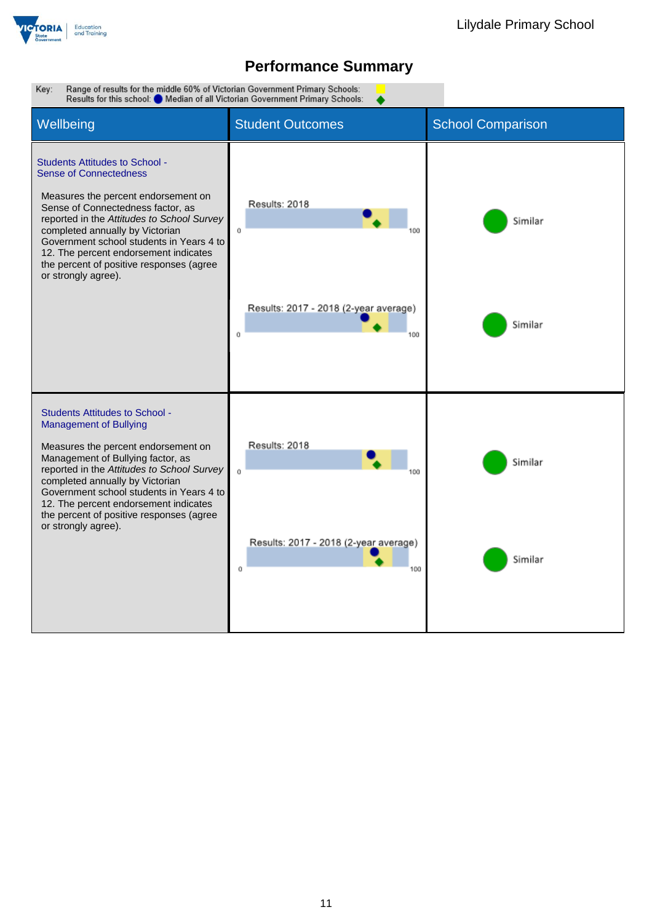

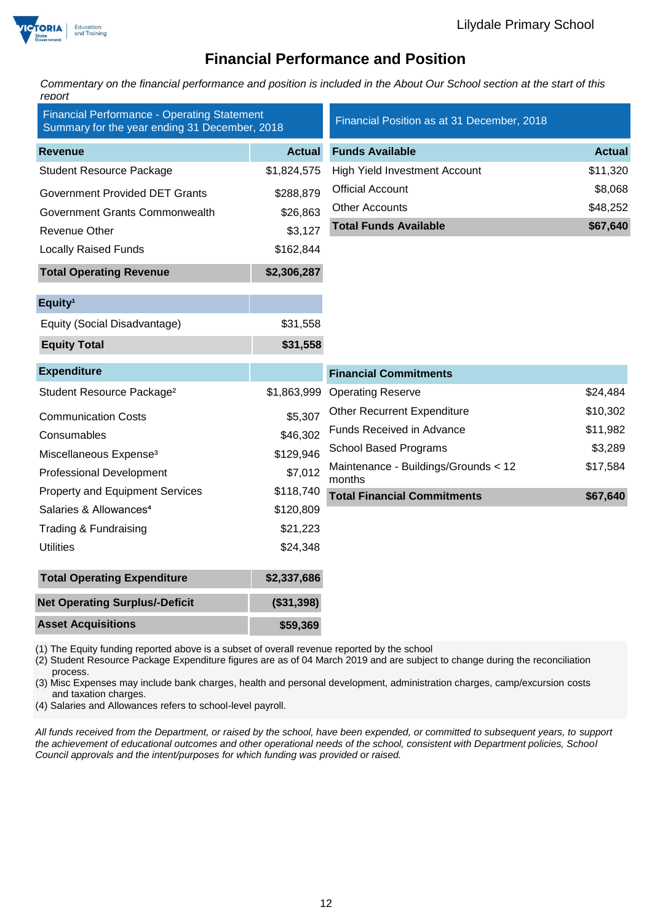

### **Financial Performance and Position**

*Commentary on the financial performance and position is included in the About Our School section at the start of this report*

| <b>Financial Performance - Operating Statement</b><br>Summary for the year ending 31 December, 2018 |               | Financial Position as at 31 December, 2018     |               |
|-----------------------------------------------------------------------------------------------------|---------------|------------------------------------------------|---------------|
| <b>Revenue</b>                                                                                      | <b>Actual</b> | <b>Funds Available</b>                         | <b>Actual</b> |
| <b>Student Resource Package</b>                                                                     | \$1,824,575   | <b>High Yield Investment Account</b>           | \$11,320      |
| <b>Government Provided DET Grants</b>                                                               | \$288,879     | <b>Official Account</b>                        | \$8,068       |
| Government Grants Commonwealth                                                                      | \$26,863      | <b>Other Accounts</b>                          | \$48,252      |
| <b>Revenue Other</b>                                                                                | \$3,127       | <b>Total Funds Available</b>                   | \$67,640      |
| <b>Locally Raised Funds</b>                                                                         | \$162,844     |                                                |               |
| <b>Total Operating Revenue</b>                                                                      | \$2,306,287   |                                                |               |
| Equity <sup>1</sup>                                                                                 |               |                                                |               |
|                                                                                                     |               |                                                |               |
| Equity (Social Disadvantage)                                                                        | \$31,558      |                                                |               |
| <b>Equity Total</b>                                                                                 | \$31,558      |                                                |               |
| <b>Expenditure</b>                                                                                  |               | <b>Financial Commitments</b>                   |               |
| Student Resource Package <sup>2</sup>                                                               | \$1,863,999   | <b>Operating Reserve</b>                       | \$24,484      |
| <b>Communication Costs</b>                                                                          | \$5,307       | <b>Other Recurrent Expenditure</b>             | \$10,302      |
| Consumables                                                                                         | \$46,302      | <b>Funds Received in Advance</b>               | \$11,982      |
| Miscellaneous Expense <sup>3</sup>                                                                  | \$129,946     | <b>School Based Programs</b>                   | \$3,289       |
| <b>Professional Development</b>                                                                     | \$7,012       | Maintenance - Buildings/Grounds < 12<br>months | \$17,584      |
| <b>Property and Equipment Services</b>                                                              | \$118,740     | <b>Total Financial Commitments</b>             | \$67,640      |
| Salaries & Allowances <sup>4</sup>                                                                  | \$120,809     |                                                |               |
| Trading & Fundraising                                                                               | \$21,223      |                                                |               |
| <b>Utilities</b>                                                                                    | \$24,348      |                                                |               |
| <b>Total Operating Expenditure</b>                                                                  | \$2,337,686   |                                                |               |
| <b>Net Operating Surplus/-Deficit</b>                                                               | (\$31,398)    |                                                |               |

**Asset Acquisitions \$59,369** 

(1) The Equity funding reported above is a subset of overall revenue reported by the school (2) Student Resource Package Expenditure figures are as of 04 March 2019 and are subject to change during the reconciliation process.

(3) Misc Expenses may include bank charges, health and personal development, administration charges, camp/excursion costs and taxation charges.

(4) Salaries and Allowances refers to school-level payroll.

*All funds received from the Department, or raised by the school, have been expended, or committed to subsequent years, to support the achievement of educational outcomes and other operational needs of the school, consistent with Department policies, School Council approvals and the intent/purposes for which funding was provided or raised.*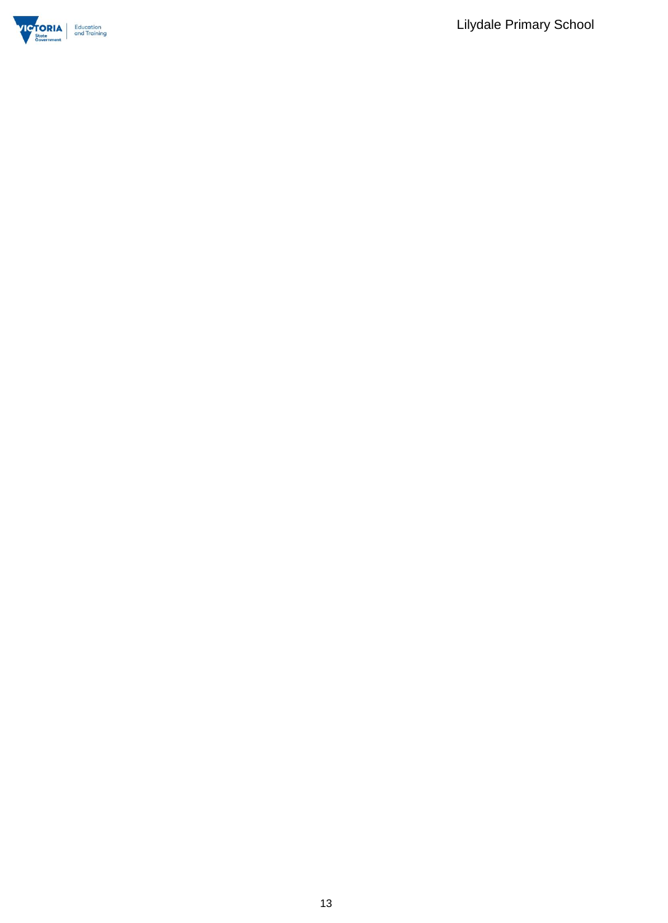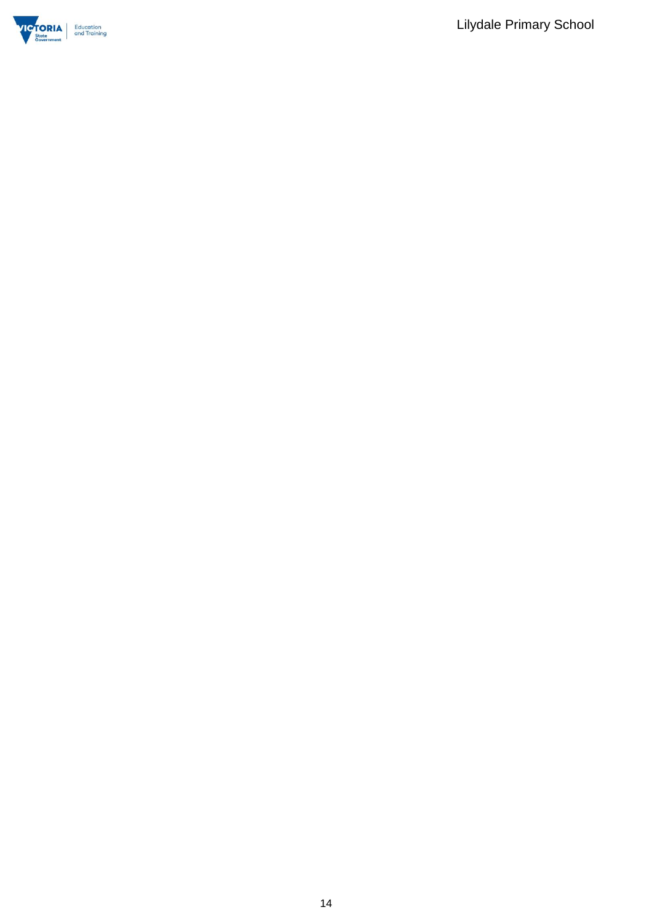